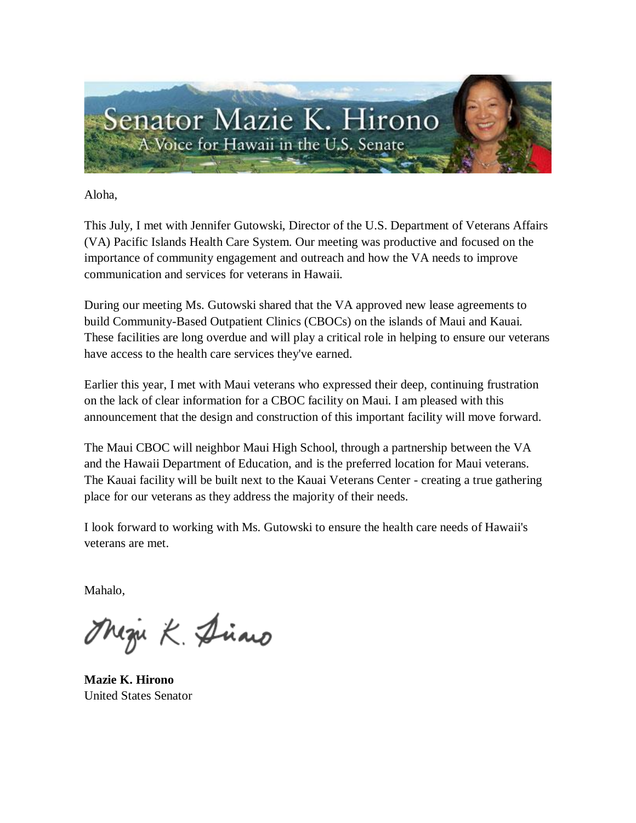

Aloha,

This July, I met with Jennifer Gutowski, Director of the U.S. Department of Veterans Affairs (VA) Pacific Islands Health Care System. Our meeting was productive and focused on the importance of community engagement and outreach and how the VA needs to improve communication and services for veterans in Hawaii.

During our meeting Ms. Gutowski shared that the VA approved new lease agreements to build Community-Based Outpatient Clinics (CBOCs) on the islands of Maui and Kauai. These facilities are long overdue and will play a critical role in helping to ensure our veterans have access to the health care services they've earned.

Earlier this year, I met with Maui veterans who expressed their deep, continuing frustration on the lack of clear information for a CBOC facility on Maui. I am pleased with this announcement that the design and construction of this important facility will move forward.

The Maui CBOC will neighbor Maui High School, through a partnership between the VA and the Hawaii Department of Education, and is the preferred location for Maui veterans. The Kauai facility will be built next to the Kauai Veterans Center - creating a true gathering place for our veterans as they address the majority of their needs.

I look forward to working with Ms. Gutowski to ensure the health care needs of Hawaii's veterans are met.

Mahalo,

Magu K. Diano

**Mazie K. Hirono** United States Senator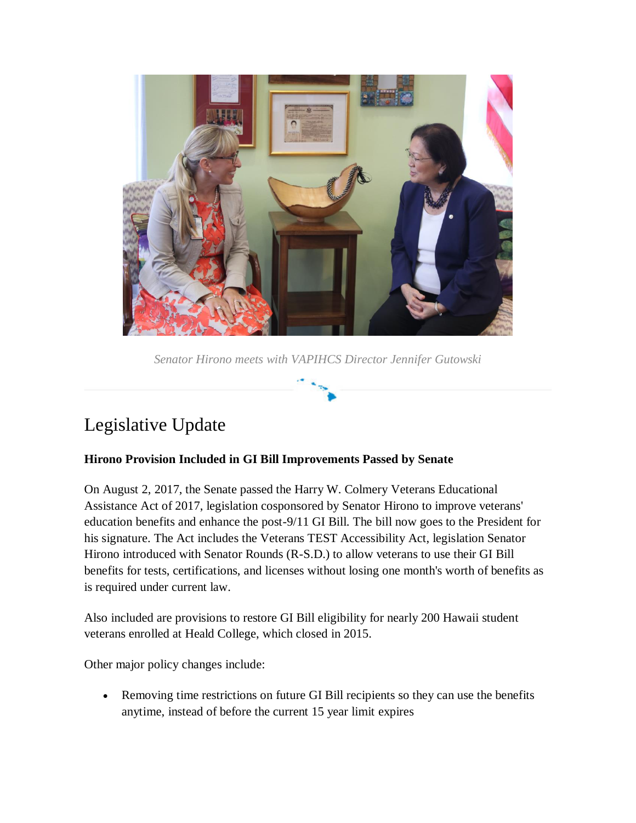

*Senator Hirono meets with VAPIHCS Director Jennifer Gutowski*

# Legislative Update

### **Hirono Provision Included in GI Bill Improvements Passed by Senate**

On August 2, 2017, the Senate passed the Harry W. Colmery Veterans Educational Assistance Act of 2017, legislation cosponsored by Senator Hirono to improve veterans' education benefits and enhance the post-9/11 GI Bill. The bill now goes to the President for his signature. The Act includes the Veterans TEST Accessibility Act, legislation Senator Hirono introduced with Senator Rounds (R-S.D.) to allow veterans to use their GI Bill benefits for tests, certifications, and licenses without losing one month's worth of benefits as is required under current law.

Also included are provisions to restore GI Bill eligibility for nearly 200 Hawaii student veterans enrolled at Heald College, which closed in 2015.

Other major policy changes include:

 Removing time restrictions on future GI Bill recipients so they can use the benefits anytime, instead of before the current 15 year limit expires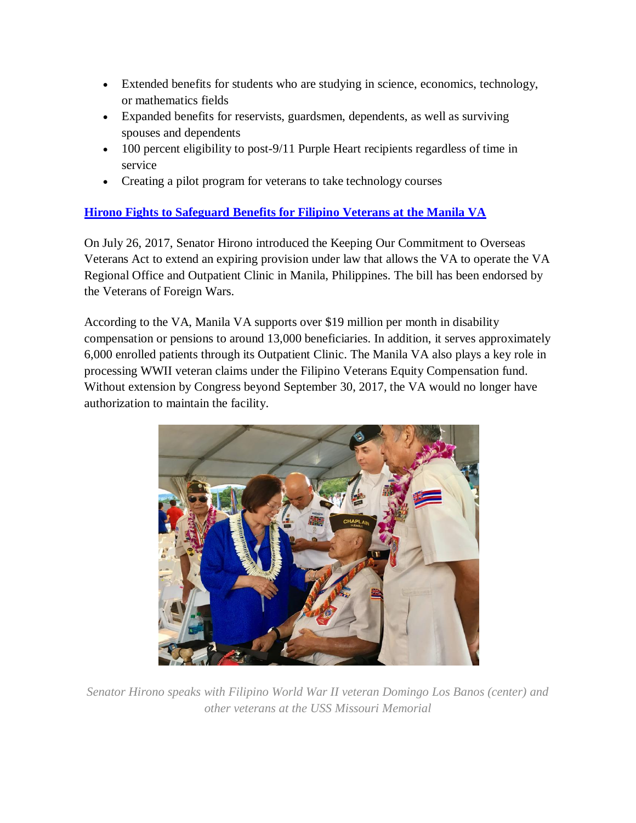- Extended benefits for students who are studying in science, economics, technology, or mathematics fields
- Expanded benefits for reservists, guardsmen, dependents, as well as surviving spouses and dependents
- 100 percent eligibility to post-9/11 Purple Heart recipients regardless of time in service
- Creating a pilot program for veterans to take technology courses

### **[Hirono Fights to Safeguard Benefits for Filipino Veterans at the Manila VA](http://ct.symplicity.com/t/hirono/67ea2e2fcbdacd7befa0b645c9dbe13a/2234065881/realurl=https:/www.hirono.senate.gov/press-releases/hirono-fights-to-safeguard-benefits-for-filipino-veterans-at-the-manila-va)**

On July 26, 2017, Senator Hirono introduced the Keeping Our Commitment to Overseas Veterans Act to extend an expiring provision under law that allows the VA to operate the VA Regional Office and Outpatient Clinic in Manila, Philippines. The bill has been endorsed by the Veterans of Foreign Wars.

According to the VA, Manila VA supports over \$19 million per month in disability compensation or pensions to around 13,000 beneficiaries. In addition, it serves approximately 6,000 enrolled patients through its Outpatient Clinic. The Manila VA also plays a key role in processing WWII veteran claims under the Filipino Veterans Equity Compensation fund. Without extension by Congress beyond September 30, 2017, the VA would no longer have authorization to maintain the facility.



*Senator Hirono speaks with Filipino World War II veteran Domingo Los Banos (center) and other veterans at the USS Missouri Memorial*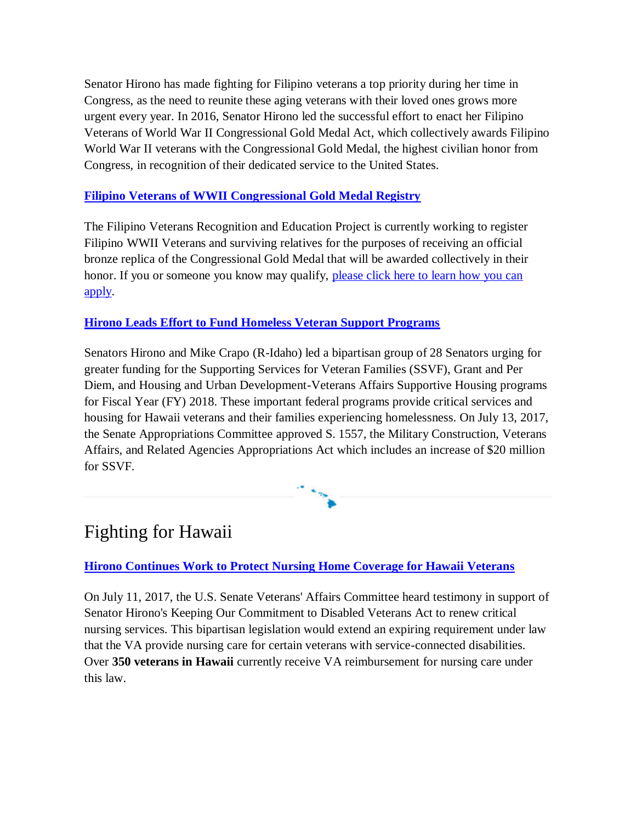Senator Hirono has made fighting for Filipino veterans a top priority during her time in Congress, as the need to reunite these aging veterans with their loved ones grows more urgent every year. In 2016, Senator Hirono led the successful effort to enact her Filipino Veterans of World War II Congressional Gold Medal Act, which collectively awards Filipino World War II veterans with the Congressional Gold Medal, the highest civilian honor from Congress, in recognition of their dedicated service to the United States.

### **[Filipino Veterans of WWII Congressional Gold Medal Registry](http://ct.symplicity.com/t/hirono/67ea2e2fcbdacd7befa0b645c9dbe13a/2234065881/realurl=https:/www.filvetrep.org/registry)**

The Filipino Veterans Recognition and Education Project is currently working to register Filipino WWII Veterans and surviving relatives for the purposes of receiving an official bronze replica of the Congressional Gold Medal that will be awarded collectively in their honor. If you or someone you know may qualify, [please click here to learn how you can](http://ct.symplicity.com/t/hirono/67ea2e2fcbdacd7befa0b645c9dbe13a/2234065881/realurl=https:/www.filvetrep.org/application)  [apply.](http://ct.symplicity.com/t/hirono/67ea2e2fcbdacd7befa0b645c9dbe13a/2234065881/realurl=https:/www.filvetrep.org/application)

### **[Hirono Leads Effort to Fund Homeless Veteran Support Programs](http://ct.symplicity.com/t/hirono/67ea2e2fcbdacd7befa0b645c9dbe13a/2234065881/realurl=https:/www.hirono.senate.gov/press-releases/senators-hirono-and-crapo-lead-effort-to-fund-homeless-veteran-support-programs)**

Senators Hirono and Mike Crapo (R-Idaho) led a bipartisan group of 28 Senators urging for greater funding for the Supporting Services for Veteran Families (SSVF), Grant and Per Diem, and Housing and Urban Development-Veterans Affairs Supportive Housing programs for Fiscal Year (FY) 2018. These important federal programs provide critical services and housing for Hawaii veterans and their families experiencing homelessness. On July 13, 2017, the Senate Appropriations Committee approved S. 1557, the Military Construction, Veterans Affairs, and Related Agencies Appropriations Act which includes an increase of \$20 million for SSVF.

## Fighting for Hawaii

**[Hirono Continues Work to Protect Nursing Home Coverage for Hawaii Veterans](http://ct.symplicity.com/t/hirono/67ea2e2fcbdacd7befa0b645c9dbe13a/2234065881/realurl=https:/www.hirono.senate.gov/press-releases/hirono-continues-work-to-protect-nursing-home-coverage-for-hawaii-veterans)**

On July 11, 2017, the U.S. Senate Veterans' Affairs Committee heard testimony in support of Senator Hirono's Keeping Our Commitment to Disabled Veterans Act to renew critical nursing services. This bipartisan legislation would extend an expiring requirement under law that the VA provide nursing care for certain veterans with service-connected disabilities. Over **350 veterans in Hawaii** currently receive VA reimbursement for nursing care under this law.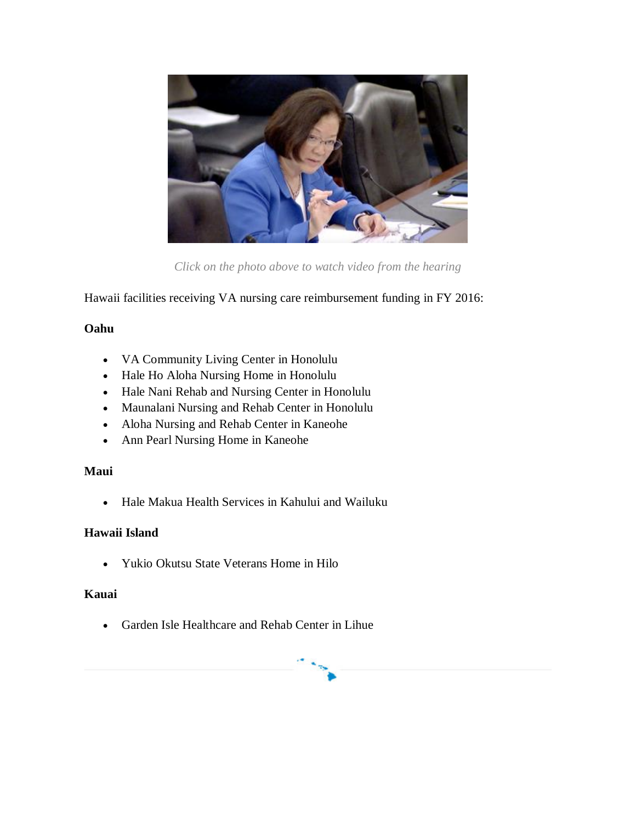

*Click on the photo above to watch video from the hearing*

Hawaii facilities receiving VA nursing care reimbursement funding in FY 2016:

### **Oahu**

- VA Community Living Center in Honolulu
- Hale Ho Aloha Nursing Home in Honolulu
- Hale Nani Rehab and Nursing Center in Honolulu
- Maunalani Nursing and Rehab Center in Honolulu
- Aloha Nursing and Rehab Center in Kaneohe
- Ann Pearl Nursing Home in Kaneohe

### **Maui**

• Hale Makua Health Services in Kahului and Wailuku

### **Hawaii Island**

Yukio Okutsu State Veterans Home in Hilo

### **Kauai**

Garden Isle Healthcare and Rehab Center in Lihue

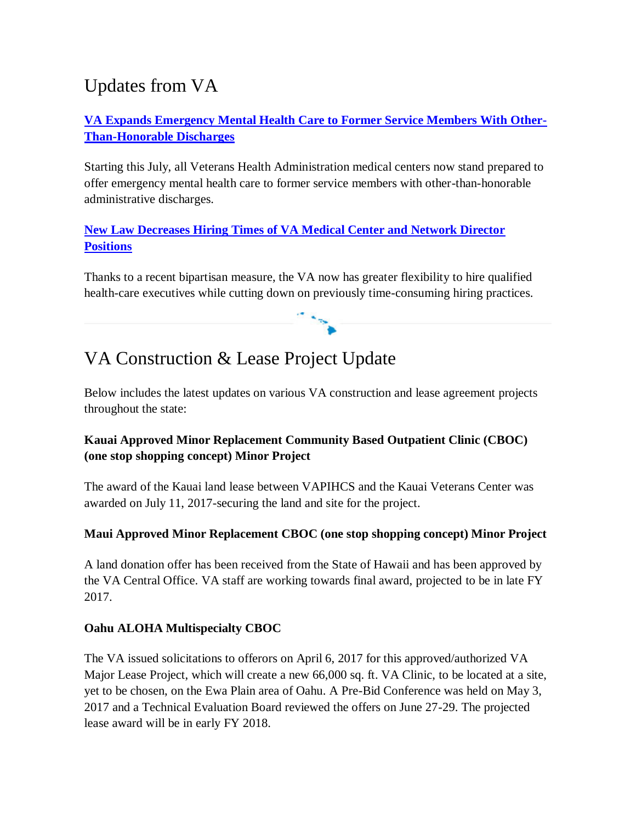# Updates from VA

### **[VA Expands Emergency Mental Health Care to Former Service Members With Other-](http://ct.symplicity.com/t/hirono/67ea2e2fcbdacd7befa0b645c9dbe13a/2234065881/realurl=https:/www.va.gov/opa/pressrel/pressrelease.cfm?id=2923)[Than-Honorable Discharges](http://ct.symplicity.com/t/hirono/67ea2e2fcbdacd7befa0b645c9dbe13a/2234065881/realurl=https:/www.va.gov/opa/pressrel/pressrelease.cfm?id=2923)**

Starting this July, all Veterans Health Administration medical centers now stand prepared to offer emergency mental health care to former service members with other-than-honorable administrative discharges.

### **[New Law Decreases Hiring Times of VA Medical Center and Network Director](http://ct.symplicity.com/t/hirono/67ea2e2fcbdacd7befa0b645c9dbe13a/2234065881/realurl=https:/www.va.gov/opa/pressrel/pressrelease.cfm?id=2920)  [Positions](http://ct.symplicity.com/t/hirono/67ea2e2fcbdacd7befa0b645c9dbe13a/2234065881/realurl=https:/www.va.gov/opa/pressrel/pressrelease.cfm?id=2920)**

Thanks to a recent bipartisan measure, the VA now has greater flexibility to hire qualified health-care executives while cutting down on previously time-consuming hiring practices.

# VA Construction & Lease Project Update

Below includes the latest updates on various VA construction and lease agreement projects throughout the state:

### **Kauai Approved Minor Replacement Community Based Outpatient Clinic (CBOC) (one stop shopping concept) Minor Project**

The award of the Kauai land lease between VAPIHCS and the Kauai Veterans Center was awarded on July 11, 2017-securing the land and site for the project.

### **Maui Approved Minor Replacement CBOC (one stop shopping concept) Minor Project**

A land donation offer has been received from the State of Hawaii and has been approved by the VA Central Office. VA staff are working towards final award, projected to be in late FY 2017.

### **Oahu ALOHA Multispecialty CBOC**

The VA issued solicitations to offerors on April 6, 2017 for this approved/authorized VA Major Lease Project, which will create a new 66,000 sq. ft. VA Clinic, to be located at a site, yet to be chosen, on the Ewa Plain area of Oahu. A Pre-Bid Conference was held on May 3, 2017 and a Technical Evaluation Board reviewed the offers on June 27-29. The projected lease award will be in early FY 2018.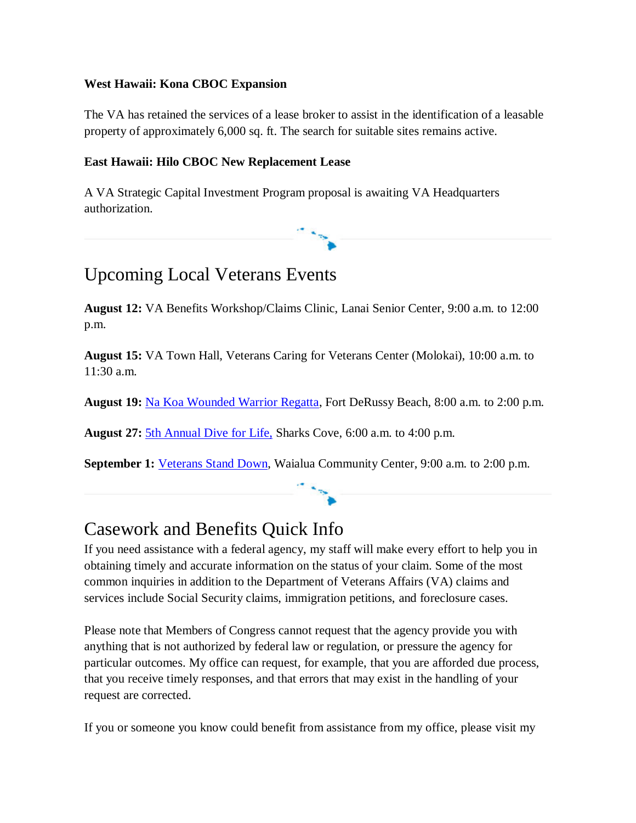### **West Hawaii: Kona CBOC Expansion**

The VA has retained the services of a lease broker to assist in the identification of a leasable property of approximately 6,000 sq. ft. The search for suitable sites remains active.

#### **East Hawaii: Hilo CBOC New Replacement Lease**

A VA Strategic Capital Investment Program proposal is awaiting VA Headquarters authorization.

## Upcoming Local Veterans Events

**August 12:** VA Benefits Workshop/Claims Clinic, Lanai Senior Center, 9:00 a.m. to 12:00 p.m.

**August 15:** VA Town Hall, Veterans Caring for Veterans Center (Molokai), 10:00 a.m. to 11:30 a.m.

**August 19:** [Na Koa Wounded Warrior Regatta,](http://ct.symplicity.com/t/hirono/67ea2e2fcbdacd7befa0b645c9dbe13a/2234065881/realurl=https:/nakoaregatta.org/) Fort DeRussy Beach, 8:00 a.m. to 2:00 p.m.

**August 27:** [5th Annual Dive for Life,](http://ct.symplicity.com/t/hirono/67ea2e2fcbdacd7befa0b645c9dbe13a/2234065881/realurl=http:/www.oahudiveforlife.com/) Sharks Cove, 6:00 a.m. to 4:00 p.m.

**September 1:** [Veterans Stand Down,](http://ct.symplicity.com/t/hirono/67ea2e2fcbdacd7befa0b645c9dbe13a/2234065881/realurl=https:/www.hawaii.va.gov/features/Veterans_Health_Service_Forum_Veterans_Stand_Down_Oahu2017.asp) Waialua Community Center, 9:00 a.m. to 2:00 p.m.

## Casework and Benefits Quick Info

If you need assistance with a federal agency, my staff will make every effort to help you in obtaining timely and accurate information on the status of your claim. Some of the most common inquiries in addition to the Department of Veterans Affairs (VA) claims and services include Social Security claims, immigration petitions, and foreclosure cases.

Please note that Members of Congress cannot request that the agency provide you with anything that is not authorized by federal law or regulation, or pressure the agency for particular outcomes. My office can request, for example, that you are afforded due process, that you receive timely responses, and that errors that may exist in the handling of your request are corrected.

If you or someone you know could benefit from assistance from my office, please visit my